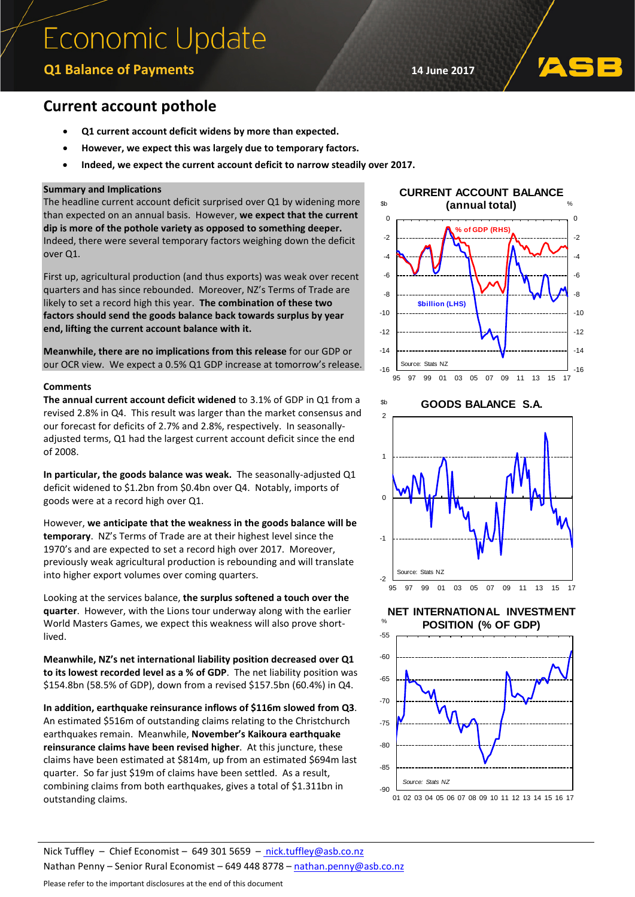# **Economic Update**

# **Q1 Balance of Payments 14 June 2017**

## **Current account pothole**

- **Q1 current account deficit widens by more than expected.**
- **However, we expect this was largely due to temporary factors.**
- **Indeed, we expect the current account deficit to narrow steadily over 2017.**

## **Summary and Implications**

The headline current account deficit surprised over Q1 by widening more than expected on an annual basis. However, **we expect that the current dip is more of the pothole variety as opposed to something deeper.** Indeed, there were several temporary factors weighing down the deficit over Q1.

First up, agricultural production (and thus exports) was weak over recent quarters and has since rebounded. Moreover, NZ's Terms of Trade are likely to set a record high this year. **The combination of these two factors should send the goods balance back towards surplus by year end, lifting the current account balance with it.**

**Meanwhile, there are no implications from this release** for our GDP or our OCR view. We expect a 0.5% Q1 GDP increase at tomorrow's release.

### **Comments**

**The annual current account deficit widened** to 3.1% of GDP in Q1 from a revised 2.8% in Q4. This result was larger than the market consensus and our forecast for deficits of 2.7% and 2.8%, respectively. In seasonallyadjusted terms, Q1 had the largest current account deficit since the end of 2008.

**In particular, the goods balance was weak.** The seasonally-adjusted Q1 deficit widened to \$1.2bn from \$0.4bn over Q4. Notably, imports of goods were at a record high over Q1.

However, **we anticipate that the weakness in the goods balance will be temporary**. NZ's Terms of Trade are at their highest level since the 1970's and are expected to set a record high over 2017. Moreover, previously weak agricultural production is rebounding and will translate into higher export volumes over coming quarters.

Looking at the services balance, **the surplus softened a touch over the quarter**. However, with the Lions tour underway along with the earlier World Masters Games, we expect this weakness will also prove shortlived.

**Meanwhile, NZ's net international liability position decreased over Q1 to its lowest recorded level as a % of GDP**. The net liability position was \$154.8bn (58.5% of GDP), down from a revised \$157.5bn (60.4%) in Q4.

**In addition, earthquake reinsurance inflows of \$116m slowed from Q3**. An estimated \$516m of outstanding claims relating to the Christchurch earthquakes remain. Meanwhile, **November's Kaikoura earthquake reinsurance claims have been revised higher**. At this juncture, these claims have been estimated at \$814m, up from an estimated \$694m last quarter. So far just \$19m of claims have been settled. As a result, combining claims from both earthquakes, gives a total of \$1.311bn in outstanding claims.



**GOODS BALANCE S.A.**



**NET INTERNATIONAL INVESTMENT** 



Nick Tuffley – Chief Economist – 649 301 5659 – [nick.tuffley@asb.co.nz](mailto:nick.tuffley@asb.co.nz) Nathan Penny – Senior Rural Economist – 649 448 8778 – [nathan.penny@asb.co.nz](mailto:nathan.penny@asb.co.nz)

#### Please refer to the important disclosures at the end of this document